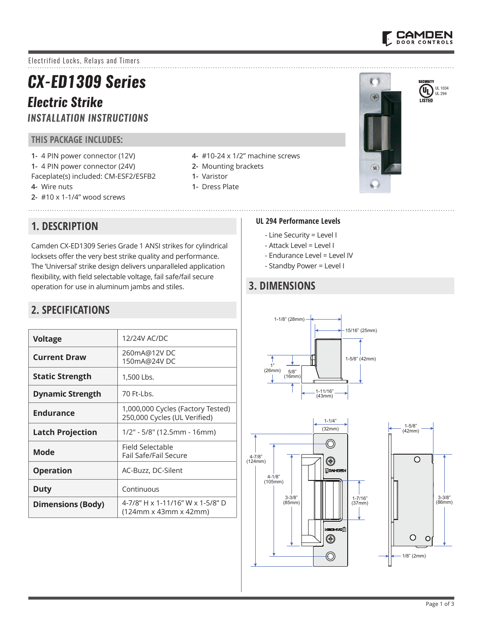

Electrified Locks, Relays and Timers

# *CX-ED1309 Series*

## *Electric Strike INSTALLATION INSTRUCTIONS*

#### **THIS PACKAGE INCLUDES:**

- **1-** 4 PIN power connector (12V) **1-** 4 PIN power connector (24V) Faceplate(s) included: CM-ESF2/ESFB2
- **4-** Wire nuts
- **2-** #10 x 1-1/4" wood screws

**1. DESCRIPTION** 

- **4-** #10-24 x 1/2" machine screws
- **2-** Mounting brackets
- **1-** Varistor
- **1-** Dress Plate





#### **UL 294 Performance Levels**

- Line Security = Level I
- Attack Level = Level I
- Endurance Level = Level IV
- Standby Power = Level I

## **3. DIMENSIONS**







# **2. SPECIFICATIONS**

| <b>Voltage</b>           | 12/24V AC/DC                                                      |  |
|--------------------------|-------------------------------------------------------------------|--|
| <b>Current Draw</b>      | 260mA@12VDC<br>150mA@24V DC                                       |  |
| <b>Static Strength</b>   | 1,500 Lbs.                                                        |  |
| <b>Dynamic Strength</b>  | 70 Ft-Lbs.                                                        |  |
| <b>Endurance</b>         | 1,000,000 Cycles (Factory Tested)<br>250,000 Cycles (UL Verified) |  |
| <b>Latch Projection</b>  | 1/2" - 5/8" (12.5mm - 16mm)                                       |  |
| Mode                     | Field Selectable<br>Fail Safe/Fail Secure                         |  |
| <b>Operation</b>         | AC-Buzz, DC-Silent                                                |  |
| Duty                     | Continuous                                                        |  |
| <b>Dimensions (Body)</b> | 4-7/8" H x 1-11/16" W x 1-5/8" D<br>(124mm x 43mm x 42mm)         |  |

Camden CX-ED1309 Series Grade 1 ANSI strikes for cylindrical locksets offer the very best strike quality and performance. The 'Universal' strike design delivers unparalleled application flexibility, with field selectable voltage, fail safe/fail secure

operation for use in aluminum jambs and stiles.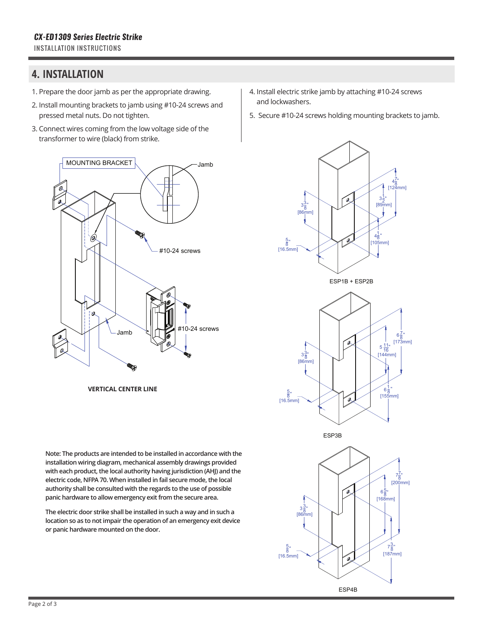#### **4. INSTALLATION**

- 1. Prepare the door jamb as per the appropriate drawing.
- 2. Install mounting brackets to jamb using #10-24 screws and pressed metal nuts. Do not tighten.
- 3. Connect wires coming from the low voltage side of the transformer to wire (black) from strike.



**VERTICAL CENTER LINE**

**Note: The products are intended to be installed in accordance with the installation wiring diagram, mechanical assembly drawings provided with each product, the local authority having jurisdiction (AHJ) and the electric code, NFPA 70. When installed in fail secure mode, the local authority shall be consulted with the regards to the use of possible panic hardware to allow emergency exit from the secure area.**  47 8 ''

The electric door strike shall be installed in such a way and in such a location so as to not impair the operation of an emergency exit device or panic hardware mounted on the door. 31 ''

ESP3B

- 4. Install electric strike jamb by attaching #10-24 screws and lockwashers.
- 5. Secure #10-24 screws holding mounting brackets to jamb.



ESP1B + ESP2B